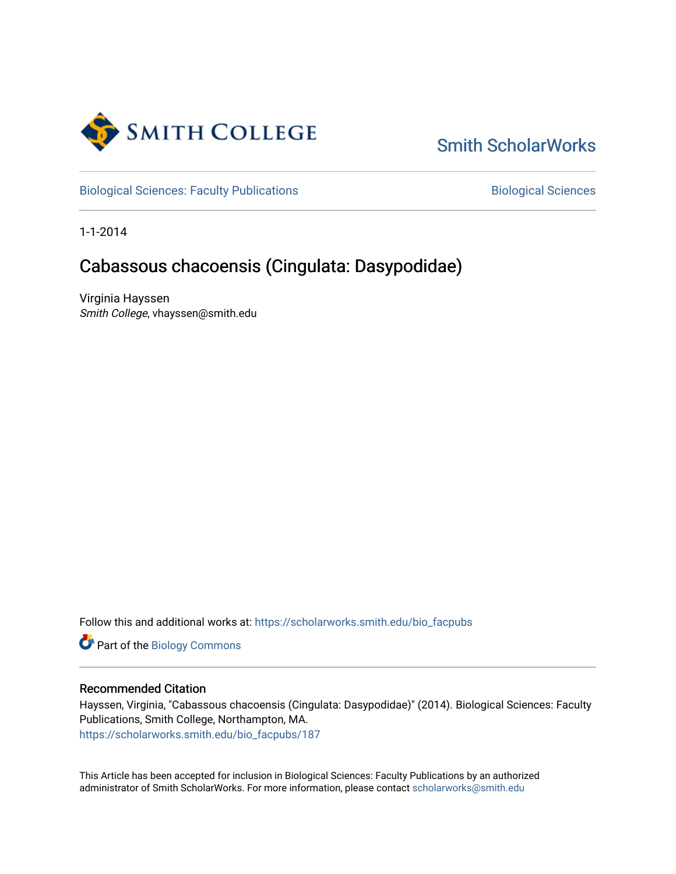

### [Smith ScholarWorks](https://scholarworks.smith.edu/)

[Biological Sciences: Faculty Publications](https://scholarworks.smith.edu/bio_facpubs) **Biological Sciences** Biological Sciences

1-1-2014

### Cabassous chacoensis (Cingulata: Dasypodidae)

Virginia Hayssen Smith College, vhayssen@smith.edu

Follow this and additional works at: [https://scholarworks.smith.edu/bio\\_facpubs](https://scholarworks.smith.edu/bio_facpubs?utm_source=scholarworks.smith.edu%2Fbio_facpubs%2F187&utm_medium=PDF&utm_campaign=PDFCoverPages)

Part of the [Biology Commons](http://network.bepress.com/hgg/discipline/41?utm_source=scholarworks.smith.edu%2Fbio_facpubs%2F187&utm_medium=PDF&utm_campaign=PDFCoverPages) 

#### Recommended Citation

Hayssen, Virginia, "Cabassous chacoensis (Cingulata: Dasypodidae)" (2014). Biological Sciences: Faculty Publications, Smith College, Northampton, MA. [https://scholarworks.smith.edu/bio\\_facpubs/187](https://scholarworks.smith.edu/bio_facpubs/187?utm_source=scholarworks.smith.edu%2Fbio_facpubs%2F187&utm_medium=PDF&utm_campaign=PDFCoverPages)

This Article has been accepted for inclusion in Biological Sciences: Faculty Publications by an authorized administrator of Smith ScholarWorks. For more information, please contact [scholarworks@smith.edu](mailto:scholarworks@smith.edu)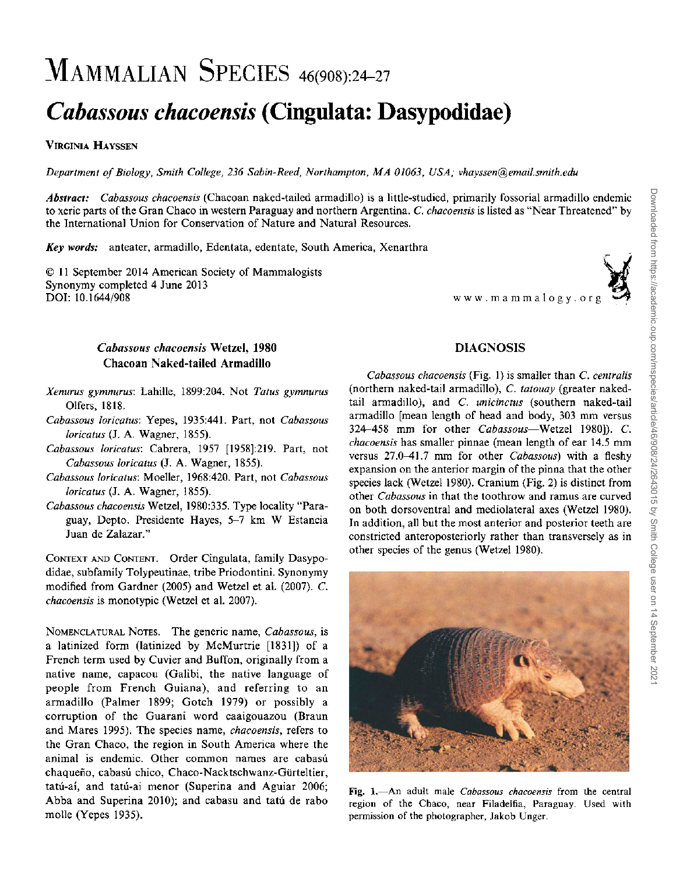# YIAMMALIAN SPECIES 46(908):24-27

## *Cabassous chacoensis* **(Cingulata: Dasypodidae)**

#### VIRGINIA HAYSSEN

*Department ofBiology, Smith College,* 236 *Sabin-Reed, Northampton , MA 01063, USA; vhayssen@ email.sm ith.edu*

*Abstract: Cabassous chacoensis* (Chacoan naked-tailed armadillo) is a little-studied, primarily fossorial armadillo endemic to xeric parts of the Gran Chaco in western Paraguay and northern Argentina . C. *chacoensis* is listed as "Near Threatened" by the International Union for Conservation of Nature and Natural Resources.

*Key words:* anteater, armadillo, Edentata, edentate, South America, Xenarthra

© 11 September 2014 American Society of Mammalogists Synonymy completed 4 June 2013 DOl: 10.1644/908 www .mamm alogy .org

## DIAGNOSIS

#### *Xenurus gymnurus:* Lahille, 1899:204 . Not *Tatus gymnurus* Olfers, 1818.

*Cabassous chacoensis* Wetzel, 1980 Chacoan Naked-tailed Armadillo

- *Cabassous loricatus:* Yepes, 1935:441. Part, not *Cabassous loricatus* (J. A. Wagner, 1855).
- *Cabassous loricatus:* Cabrera, 1957 [1958]:219. Part, not *Cabassous loricatus* (J. A. Wagner, 1855).
- *Cabassous loricatus:* Moeller, 1968:420. Part, not *Cabassous loricatus* (J. A. Wagner, 1855).
- *Cabassous chacoensis* Wetzel, 1980:335. Type locality "Paraguay, Depto. Presidente Hayes, 5-7 km W Estancia Juan de Zalazar."

CONTEXT AND CONTENT. Order Cingulata, family Dasypodidae, subfamily Tolypeutinae, tribe Priodontini. Synonymy modified from Gardner (2005) and Wetzel et al. (2007). C. *chacoensis* is monotypic (Wetzel et al. 2007).

NOMENCLATURAL NOTES. The generic name, *Cabassous,* is a latinized form (latinized by McMurtrie [1831]) of a French term used by Cuvier and Buffon, originally from a native name, capacou (Galibi, the native language of people from French Guiana), and referring to an armadillo (Palmer 1899; Gotch 1979) or possibly a corruption of the Guarani word caaigouazou (Braun and Mares 1995). The species name, *chacoensis,* refers to the Gran Chaco, the region in South America where the animal is endemic. Other common names are cabasú chaqueño, cabasú chico, Chaco-Nacktschwanz-Gürteltier, tatu-ai, and tatu-ai menor (Superina and Aguiar 2006; Abba and Superina 2010); and cabasu and tatú de rabo molle (Yepes 1935).

*Cabassous chacoensis* (Fig. I) is smaller than C. *centralis* (northern naked-tail armadillo), C. *tatouay* (greater nakedtail armadillo), and C. *unicinctus* (southern naked-tail armadillo [mean length of head and body, 303 mm versus 324-458 mm for other *Cabassous-Wetzel* 1980]). C. *chacoensis* has smaller pinnae (mean length of ear 14.5 mm versus 27.0-41.7 mm for other *Cabassous)* with a fleshy expansion on the anterior margin of the pinna that the other species lack (Wetzel 1980). Cranium (Fig. 2) is distinct from other *Cabassous* in that the toothrow and ramus are curved on both dorsoventral and mediolateral axes (Wetzel 1980). In addition, all but the most anterior and posterior teeth are constricted anteroposteriorly rather than transversely as in other species of the genus (Wetzel 1980).



Fig. 1.-An adult male *Cabassous chacoensis* from the central region of the Chaco, near Filadelfia, Paraguay. Used with permission of the photographer, Jakob Unger.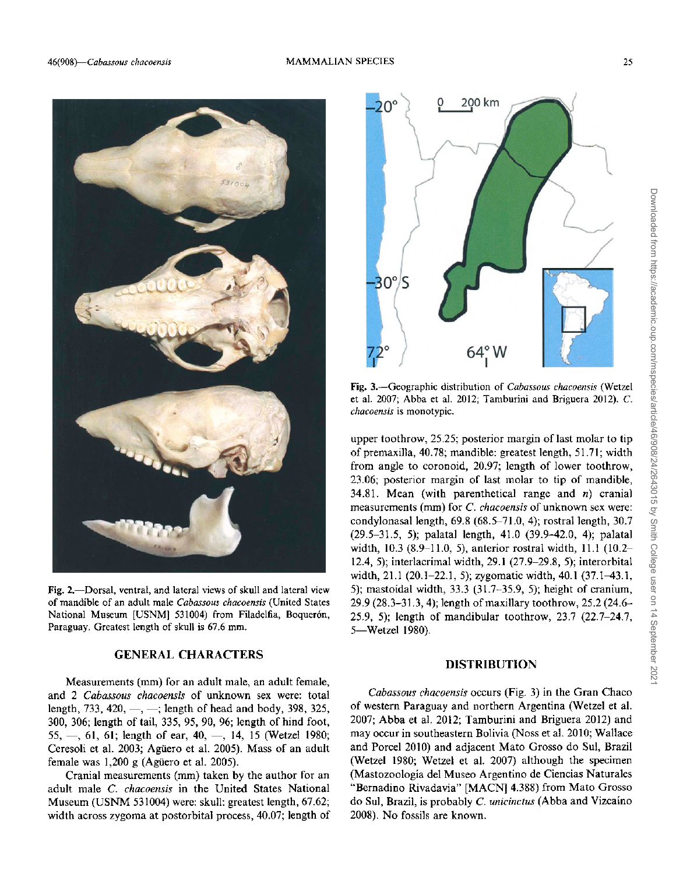

Fig. 2.-Dorsal, ventral, and lateral views of skull and lateral view of mandible of an adult male *Cabassous chacoensis*(United States National Museum [USNM] 531004) from Filadelfia, Boquerón, Paraguay. Greatest length of skull is 67.6 mm.

#### GENERAL CHARACTERS

Measurements (mm) for an adult male, an adult female, and 2 *Cabassous chacoensis* of unknown sex were: total length, 733, 420,  $-$ ,  $-$ ; length of head and body, 398, 325, 300, 306; length of tail, 335, 95, 90, 96; length of hind foot, 55,  $-$ , 61, 61; length of ear, 40,  $-$ , 14, 15 (Wetzel 1980; Ceresoli et al. 2003; Agiiero et al. 2005). Mass of an adult female was 1,200 g (Agüero et al. 2005).

Cranial measurements (mm) taken by the author for an adult male C. *chacoensis* in the United States National Museum (USNM 531004) were: skull: greatest length, 67.62; width across zygoma at postorbital process, 40.07; length of



Fig. 3.-Geographic distribution of *Cabassous chacoensis* (Wetzel et al. 2007; Abba et al. 2012; Tamburini and Briguera 2012). C. *chacoensis* is monotypic.

upper toothrow, 25.25; posterior margin of last molar to tip of premaxilla, 40.78; mandible: greatest length, 51.71; width from angle to coronoid, 20.97; length of lower toothrow, 23.06; posterior margin of last molar to tip of mandible, 34.81. Mean (with parenthetical range and  $n$ ) cranial measurements (mm) for C. *chacoensis* of unknown sex were: condylonasal length,  $69.8$   $(68.5-71.0, 4)$ ; rostral length,  $30.7$ (29.5-31.5, 5); palatal length, 41.0 (39.9-42.0, 4); palatal width, 10.3 (8.9-11.0, 5), anterior rostral width, 11.1 (l0.2- 12.4,5); interlacrimal width, 29.1 (27.9-29.8,5); interorbital width, 21.1 (20.1-22.1,5); zygomatic width, 40.1 (37.1-43.1, 5); mastoidal width, 33.3 (31.7-35.9, 5); height of cranium, 29.9 (28.3-31.3, 4); length of maxillary toothrow, 25.2 (24.6- 25.9, 5); length of mandibular toothrow, 23.7 (22.7-24.7, 5-Wetzel 1980).

#### DISTRIBUTION

*Cabassous chacoensis* occurs (Fig. 3) in the Gran Chaco of western Paraguay and northern Argentina (Wetzel et al. 2007; Abba et al. 2012; Tamburini and Briguera 2012) and may occur in southeastern Bolivia (Noss et al. 2010; Wallace and Porcel 2010) and adjacent Mato Grosso do SuI, Brazil (Wetzel 1980; Wetzel et al. 2007) although the specimen (Mastozoologia del Museo Argentino de Ciencias Naturales "Bernadino Rivadavia" [MACN] 4.388) from Mato Grosso do SuI, Brazil, is probably C. *unicinctus* (Abba and Vizcaino 2008). No fossils are known.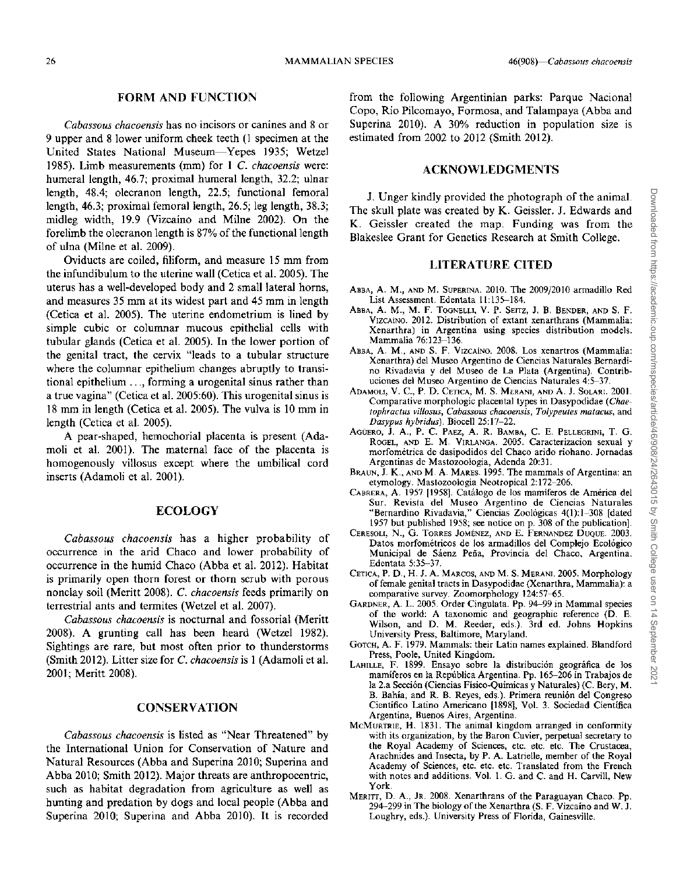#### FORM AND FUNCTION

*Cabassous chacoensis* has no incisors or canines and 8 or 9 upper and 8 lower uniform cheek teeth (1 specimen at the United States National Museum-Yepes 1935; Wetzel 1985). Limb measurements (mm) for 1 C. *chacoensis* were: humeral length, 46.7; proximal humeral length, 32.2; ulnar length, 48.4; olecranon length, 22.5; functional femoral length, 46.3; proximal femoral length, 26.5; leg length, 38.3; midleg width, 19.9 (Vizcaino and Milne 2002). On the forelimb the olecranon length is 87% of the functional length of ulna (Milne et al. 2009).

Oviducts are coiled, filiform, and measure 15 mm from the infundibulum to the uterine wall (Cetica et al. 2005). The uterus has a well-developed body and 2 small lateral horns, and measures 35 mm at its widest part and 45 mm in length (Cetica et al. 2005). The uterine endometrium is lined by simple cubic or columnar mucous epithelial cells with tubular glands (Cetica et al. 2005). In the lower portion of the genital tract, the cervix "leads to a tubular structure where the columnar epithelium changes abruptly to transitional epithelium ..., forming a urogenital sinus rather than a true vagina" (Cetica et al. 2005:60). This urogenital sinus is 18 mm in length (Cetica et al. 2005). The vulva is 10 mm in length (Cetica et al. 2005).

A pear-shaped, hemochorial placenta is present (Adamoli et al. 2001). The maternal face of the placenta is homogenously villosus except where the umbilical cord inserts (Adamoli et al. 2001).

#### ECOLOGY

*Cabassous chacoensis* has a higher probability of occurrence in the arid Chaco and lower probability of occurrence in the humid Chaco (Abba et al. 2012). Habitat is primarily open thorn forest or thorn scrub with porous nonclay soil (Meritt 2008). C. *chacoensis* feeds primarily on terrestrial ants and termites (Wetzel et al. 2007).

*Cabassous chacoensis* is nocturnal and fossorial (Meritt 2008). A grunting call has been heard (Wetzel 1982). Sightings are rare, but most often prior to thunderstorms (Smith 2012). Litter size for C. *chacoensis* is 1 (Adamoli et al. 2001; Meritt 2008).

#### **CONSERVATION**

*Cabassous chacoensis* is listed as "Near Threatened" by the International Union for Conservation of Nature and Natural Resources (Abba and Superina 2010; Superina and Abba 2010; Smith 2012). Major threats are anthropocentric, such as habitat degradation from agriculture as well as hunting and predation by dogs and local people (Abba and Superina 2010; Superina and Abba 2010). It is recorded from the following Argentinian parks: Parque Nacional Copo, Rio Pilcomayo, Formosa, and Talampaya (Abba and Superina 2010). A 30% reduction in population size is estimated from 2002 to 2012 (Smith 2012).

#### ACKNOWLEDGMENTS

J. Unger kindly provided the photograph of the animal. The skull plate was created by K. Geissler. J. Edwards and K. Geissler created the map. Funding was from the Blakeslee Grant for Genetics Research at Smith College.

#### LITERATURE CITED

- ABBA, A. M., AND M. SUPERINA. 2010. The 2009/2010 armadillo Red List Assessment. Edentata 11:135-184.
- ABBA, A. M., M. F. TOGNELLI, V. P. SEITZ, J. B. BENDER, AND S. F. VIZCAiNO. 2012. Distribution of extant xenarthrans (Mammalia: Xenarthra) in Argentina using species distribution models. Mammalia 76:123-136.
- ABBA, A. M., AND S. F. VIZCAiNO. 2008. Los xenartros (Mammalia: Xenarthra) del Museo Argentino de Ciencias Naturales Bernardino Rivadavia y del Museo de La Plata (Argentina). Contribuciones del Museo Argentino de Ciencias Naturales 4:5-37.
- ADAMOLI, V. C., P. D. CETICA, M. S. MERANI, AND A. J. SOLARI. 2001. Comparative morphologic placental types in Dasypodidae *(Chaetophractus villosus, Cabassous chacoensis, Tolypeutes matacus,* and *Dasypus hybridus).* Biocell 25:17-22.
- AGUERO, J. A., P. C. PAEZ, A. R. BAMBA, C. E. PELLEGRINI, T. G. ROGEL, AND E. M. VIRLANGA. 2005. Caracterizacion sexual y morfometrica de dasipodidos del Chaco arido riohano. Jornadas Argentinas de Mastozoologia, Adenda 20:31.
- BRAUN, J. K., AND M. A. MARES. 1995. The mammals of Argentina: an etymology. Mastozoologia Neotropical 2:172-206.
- CABRERA, A. 1957 [1958]. Catalogo de los mamiferos de America del Sur. Revista del Museo Argentino de Ciencias Naturales "Bernardino Rivadavia," Ciencias Zoologicas 4(1):1-308 [dated 1957 but published 1958; see notice on p. 308 of the publication].
- CERESOLI, N., G. TORRES JOMENEZ, AND E. FERNANDEZ DUQUE. 2003. Datos morfometricos de los armadillos del Complejo Ecologico Municipal de Sáenz Peña, Provincia del Chaco, Argentina. Edentata 5:35-37.
- CETICA, P. D., H. J. A. MARCOS, AND M. S. MERANI. 2005. Morphology of female genital tracts in Dasypodidae (Xenarthra, Mammalia): a comparative survey. Zoomorphology 124:57-65.
- GARDNER, A. L. 2005. Order Cingulata. Pp. 94-99 in Mammal species of the world: A taxonomic and geographic reference (D. E. Wilson, and D. M. Reeder, eds.). 3rd ed. Johns Hopkins University Press, Baltimore, Maryland.
- GOTCH, A. F. 1979. Mammals: their Latin names explained. Blandford Press, Poole, United Kingdom.
- LAHILLE, F. 1899. Ensayo sobre la distribucion geografica de los mamiferos en la Republica Argentina. Pp. 165-206 in Trabajos de la 2.a Seccion (Ciencias Fisico-Quimicas y Naturales) (C. Bery, M. B. Bahía, and R. B. Reyes, eds.). Primera reunión del Congreso Cientifico Latino Americano [1898], Vol. 3. Sociedad Cientifica Argentina, Buenos Aires, Argentina.
- McMURTRIE, H. 1831. The animal kingdom arranged in conformity with its organization, by the Baron Cuvier, perpetual secretary to the Royal Academy of Sciences, etc. etc. etc. The Crustacea, Arachnides and Insecta, by P. A. Latrielle, member of the Royal Academy of Sciences, etc. etc. etc. Translated from the French with notes and additions. Vol. 1. G. and C. and H. Carvill, New York.
- MERITT, D. A., JR. 2008. Xenarthrans of the Paraguayan Chaco. Pp. 294-299 in The biology of the Xenarthra (S. F. Vizcaino and W. J. Loughry, eds.). University Press of Florida, Gainesville.